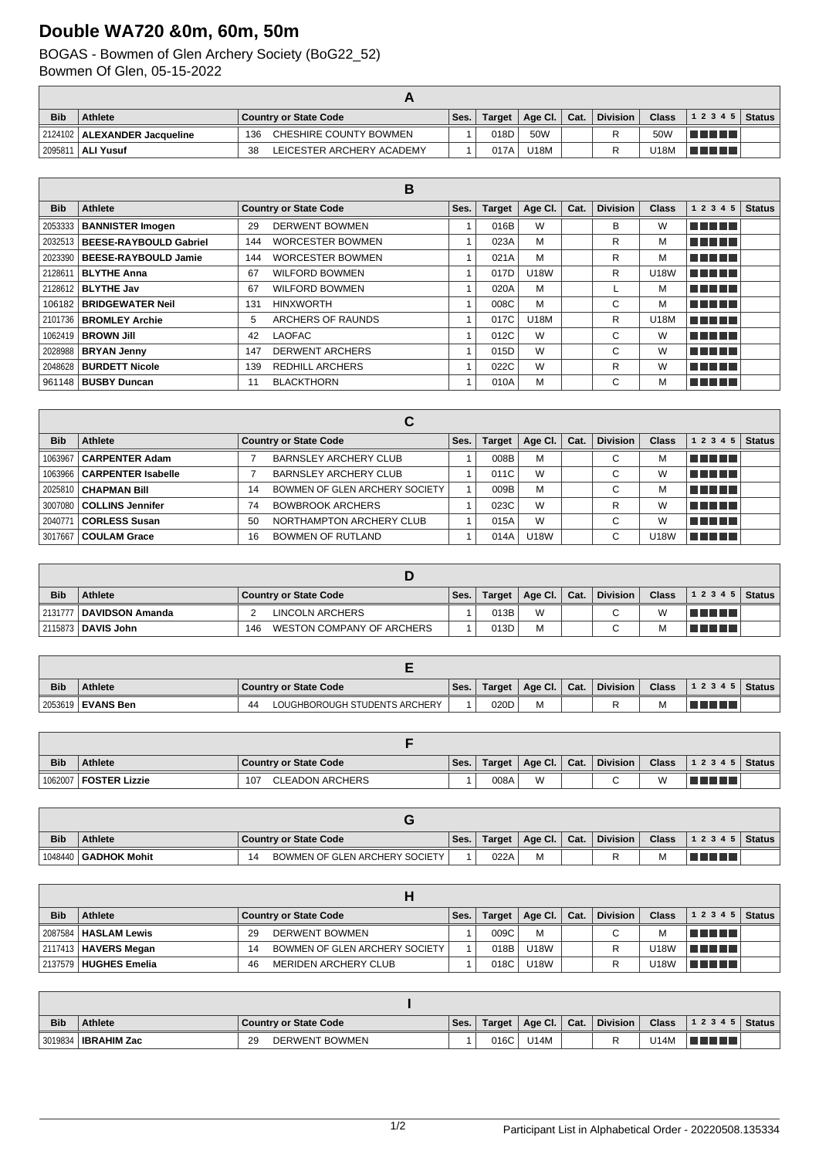## **Double WA720 &0m, 60m, 50m**

## BOGAS - Bowmen of Glen Archery Society (BoG22\_52) Bowmen Of Glen, 05-15-2022

| <b>Bib</b> | Athlete                        | Country or State Code           | `Ses. . | Target | $\parallel$ Age Cl. $\parallel$ Cat. | <b>Division</b> | <b>Class</b> | $12345$ Status |  |
|------------|--------------------------------|---------------------------------|---------|--------|--------------------------------------|-----------------|--------------|----------------|--|
|            | 2124102   ALEXANDER Jacqueline | CHESHIRE COUNTY BOWMEN<br>136   |         | 018D   | 50W                                  |                 | 50W          | T FI FI FI     |  |
|            | 2095811   <b>ALI Yusuf</b>     | LEICESTER ARCHERY ACADEMY<br>38 |         | 017A   | U18M                                 |                 | U18M         | TI FI FI FI    |  |

|            |                                  |     | в                            |      |               |             |      |                 |              |              |               |
|------------|----------------------------------|-----|------------------------------|------|---------------|-------------|------|-----------------|--------------|--------------|---------------|
| <b>Bib</b> | <b>Athlete</b>                   |     | <b>Country or State Code</b> | Ses. | <b>Target</b> | Age Cl.     | Cat. | <b>Division</b> | <b>Class</b> | 1 2 3 4 5    | <b>Status</b> |
|            | 2053333   BANNISTER Imogen       | 29  | <b>DERWENT BOWMEN</b>        |      | 016B          | W           |      | В               | W            | TE E E E     |               |
|            | 2032513   BEESE-RAYBOULD Gabriel | 144 | <b>WORCESTER BOWMEN</b>      |      | 023A          | M           |      | R               | М            | TELET        |               |
|            | 2023390   BEESE-RAYBOULD Jamie   | 144 | <b>WORCESTER BOWMEN</b>      |      | 021A          | M           |      | R               | M            | TE DE L      |               |
| 2128611    | <b>BLYTHE Anna</b>               | 67  | <b>WILFORD BOWMEN</b>        |      | 017D          | <b>U18W</b> |      | R               | <b>U18W</b>  | TE ELE       |               |
|            | 2128612   <b>BLYTHE Jav</b>      | 67  | <b>WILFORD BOWMEN</b>        |      | 020A          | M           |      |                 | M            | TE ELECTRICI |               |
|            | 106182   BRIDGEWATER Neil        | 131 | <b>HINXWORTH</b>             |      | 008C          | M           |      | С               | м            | TELET        |               |
|            | 2101736   BROMLEY Archie         | 5   | ARCHERS OF RAUNDS            |      | 017C          | <b>U18M</b> |      | R               | U18M         | T FIFTE T    |               |
|            | 1062419   <b>BROWN JIII</b>      | 42  | <b>LAOFAC</b>                |      | 012C          | W           |      | С               | W            | TELET        |               |
|            | 2028988   BRYAN Jenny            | 147 | <b>DERWENT ARCHERS</b>       |      | 015D          | W           |      | С               | W            | TE ELECTRICI |               |
|            | 2048628   BURDETT Nicole         | 139 | <b>REDHILL ARCHERS</b>       |      | 022C          | W           |      | R               | W            | TE ELET      |               |
|            | 961148   <b>BUSBY Duncan</b>     | 11  | <b>BLACKTHORN</b>            |      | 010A          | M           |      | С               | M            | T E E E      |               |

|            |                              |    | С                              |      |               |             |      |                 |              |           |               |
|------------|------------------------------|----|--------------------------------|------|---------------|-------------|------|-----------------|--------------|-----------|---------------|
| <b>Bib</b> | Athlete                      |    | <b>Country or State Code</b>   | Ses. | <b>Target</b> | Age CI.     | Cat. | <b>Division</b> | <b>Class</b> | 1 2 3 4 5 | <b>Status</b> |
| 1063967    | <b>CARPENTER Adam</b>        |    | <b>BARNSLEY ARCHERY CLUB</b>   |      | 008B          | M           |      | С               | м            | TE E E E  |               |
|            | 1063966   CARPENTER Isabelle |    | <b>BARNSLEY ARCHERY CLUB</b>   |      | 011C          | W           |      | С               | W            | TE ELET   |               |
| 2025810    | <b>CHAPMAN Bill</b>          | 14 | BOWMEN OF GLEN ARCHERY SOCIETY |      | 009B          | M           |      | С               | м            | TE ELET   |               |
|            | 3007080   COLLINS Jennifer   | 74 | <b>BOWBROOK ARCHERS</b>        |      | 023C          | W           |      | R               | W            | TELET     |               |
| 2040771    | <b>CORLESS Susan</b>         | 50 | NORTHAMPTON ARCHERY CLUB       |      | 015A          | W           |      | C               | W            | TE ELET   |               |
|            | 3017667   COULAM Grace       | 16 | <b>BOWMEN OF RUTLAND</b>       |      | 014A          | <b>U18W</b> |      | С               | U18W         | TE ELET   |               |

| <b>Bib</b> | <b>Athlete</b>            | Country or State Code            | Ses. | Target | Age Cl. $ $ | Cat. | <b>Division</b> | <b>Class</b> | $12345$ Status            |  |
|------------|---------------------------|----------------------------------|------|--------|-------------|------|-----------------|--------------|---------------------------|--|
|            | 2131777   DAVIDSON Amanda | LINCOLN ARCHERS                  |      | 013B   | W           |      |                 | W            | T FI FI FI FI             |  |
|            | 2115873   DAVIS John      | WESTON COMPANY OF ARCHERS<br>146 |      | 013D   | M           |      |                 | М            | a propinsi Kabupatén Band |  |

| <b>Bib</b> | <b>Athlete</b>           | Country or State Code               | Ses. | Target | Age Cl. | Cat. | <b>Division</b> | <b>Class</b> | 1 2 3 4 5 | <b>Status</b> |
|------------|--------------------------|-------------------------------------|------|--------|---------|------|-----------------|--------------|-----------|---------------|
|            | 2053619 <b>EVANS Ben</b> | LOUGHBOROUGH STUDENTS ARCHERY<br>44 |      | 020D   | м       |      |                 | M            | T FIFT    |               |

| <b>Bib</b> | <b>Athlete</b> | <b>Country or State Code</b>  | Ses. | Target | Age Cl.   Cat. | <b>Division</b> | <b>Class</b> | 12345  | Status |
|------------|----------------|-------------------------------|------|--------|----------------|-----------------|--------------|--------|--------|
| 1062007    | FOSTER Lizzie  | <b>CLEADON ARCHERS</b><br>107 |      | 008A   | W              | ⌒               | W            | TATATI |        |

| <b>Bib</b> | <b>Athlete</b>                | Country or State Code          | `Ses. | Target | Age CI. | Cat. | <b>Division</b> | <b>Class</b> | 12345 | Status |
|------------|-------------------------------|--------------------------------|-------|--------|---------|------|-----------------|--------------|-------|--------|
|            | ↓1048440丨 <b>GADHOK Mohit</b> | BOWMEN OF GLEN ARCHERY SOCIETY |       | 022A   |         |      |                 | м            |       |        |

| <b>Bib</b> | <b>Athlete</b>                |     | <b>Country or State Code</b>   | Ses. |      | Target   Age Cl.   Cat. | <b>Division</b> | <b>Class</b> | $12345$ Status |  |
|------------|-------------------------------|-----|--------------------------------|------|------|-------------------------|-----------------|--------------|----------------|--|
|            | 2087584   HASLAM Lewis        | 29  | <b>DERWENT BOWMEN</b>          |      | 009C | M                       | С               | м            | T FI FI FI FI  |  |
|            | 2117413   <b>HAVERS Megan</b> | 14  | BOWMEN OF GLEN ARCHERY SOCIETY |      | 018B | <b>U18W</b>             |                 | J18W         | l Timor III d  |  |
|            | 2137579 HUGHES Emelia         | -46 | <b>MERIDEN ARCHERY CLUB</b>    |      | 018C | <b>U18W</b>             |                 | U18W         | TI TI TI T     |  |

| <b>Bib</b> | <b>Athlete</b>        | <b>Country or State Code</b> | Ses. | Target | Age CI.     | $\vert$ Cat. | <b>Division</b> | <b>Class</b> | $12345$ Status |  |
|------------|-----------------------|------------------------------|------|--------|-------------|--------------|-----------------|--------------|----------------|--|
|            | 3019834   IBRAHIM Zac | <b>DERWENT BOWMEN</b><br>-29 |      | 016C   | <b>U14M</b> |              |                 | U14M         |                |  |